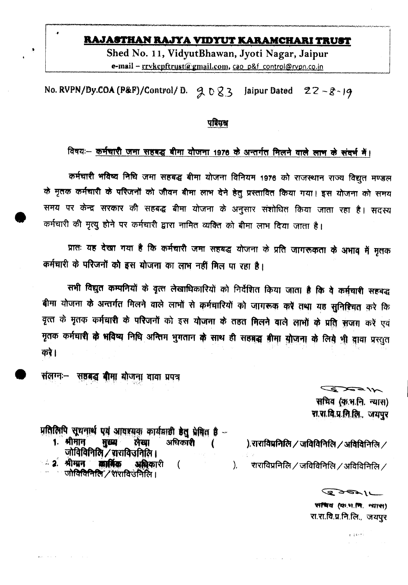# RAJASTHAN RAJYA VIDYUT KARAMCHARI TRUST

Shed No. 11, VidyutBhawan, Jyoti Nagar, Jaipur e-mail - rrykepftrust@gmail.com, cao p&f control@rypn.co.in

No. RVPN/Dy.COA (P&F)/Control/D.  $9023$ Jaipur Dated  $22 - 8 - 19$ 

# <u>परिपश्च</u>

# विषयः- कर्मचारी जमा सहबद्ध बीमा योजना 1976 के अन्तर्गत मिलने वाले लाभ के संदर्भ में।

कर्मचारी भविष्य निधि जमा सहबद्ध बीमा योजना विनियम 1976 को राजस्थान राज्य विद्युत मण्डल के मृतक कर्मचारी के परिजनों को जीवन बीमा लाभ देने हेतु प्रस्तावित किया गया। इस योजना को समय समय पर केन्द्र सरकार की सहबद्ध बीमा योजना के अनुसार संशोधित किया जाता रहा है। सदस्य कर्मचारी की मृत्यु होने पर कर्मचारी द्वारा नामित व्यक्ति को बीमा लाभ दिया जाता है।

प्रातः यह देखा गया है कि कर्मचारी जमा सहबद्ध योजना के प्रति जागरूकता के अभाव में मृतक कर्मचारी के परिजनों को इस योजना का लाभ नहीं मिल पा रहा है।

सभी विद्युत कम्पनियों के वृत्त लेखाधिकारियों को निर्देशित किया जाता है कि वे कर्मचारी सहबद्ध बीमा योजना के अन्तर्गत मिलने वाले लाभों से कर्मचारियों को जागरूक करें तथा यह सुनिश्चित करे कि वृत्त के मृतक कर्मचारी के परिजनों को इस योजना के तहत मिलने वाले लाभों के प्रति सजग करें एवं मृतक कर्मचारी के भविष्य निधि अन्तिम भुगतान के साथ ही सहबद्ध बीमा योजना के लिये भी वावा प्रस्तुत करे।

स**ष्ठबद्ध बीमा योजना वावा प्र**पत्र संलग्नः—

> ALEXA सचिव (कृ.भ.नि. न्यास) श.श.बि.प्र.ति.लि., अयपुर

प्रतिलिपि सूथनार्थ पर्य आवश्यक कार्यवाही हेतु प्रेषित है -

1. श्रीमान मुख्य लेखा अधिकारी  $\left($ जोविविनिलि / राराविजनिलि।

ं 2. श्रीमान कार्षिक अधिकारी  $\overline{(\ }$ जोविविनिति / शशविउनिलि।

**Salary Administration** 

 $\sim 100$ 

). राराविप्रनिलि / जविविनिलि / अविविनिलि /

राराविप्रनिलि $\angle$ जविविनिलि $\angle$ अविविनिलि $\angle$  $\mathcal{L}$ 

**Contractor** 

 $\mathcal{L}$  and  $\mathcal{L}$ 

WING (OLW.M. MITCH) रा.रा.वि.प्र.नि.लि., जयपुर

 $\mathbf{r} = \frac{1}{2}(\vec{k} + \vec{N})^2$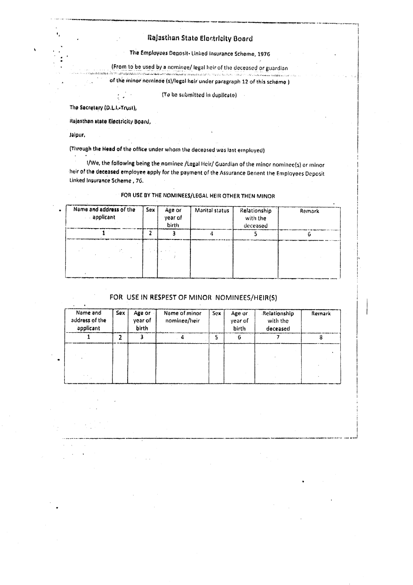### Rajasthan State Electricity Board

The Employees Deposit- Linked Insurance Scheme, 1976

(From to be used by a nominee/ legal heir of the deceased or guardian a dan kanang menerimpakan kemudian kemudian kemudian kemudian mengangkan kemudian kemudian kemudian.<br>Pangkang mengangkan menyakan kemudian pertama mengangkan mengangkan mengangkan mengangkan pertama pengangkan p

of the minor nominee (s)/legal heir under paragraph 12 of this scheme )

(To be submitted in duplicate).

The Secretary (D.L.I.-Trust),

Rajasthan state Electricity Board,

 $\mathcal{L}$  $\ddot{\phantom{a}}$ 

Jalpur.

(Through the Head of the office under whom the deceased was last employed)

I/We, the following being the nominee /Legal Heir/ Guardian of the minor nominee(s) or minor heir of the deceased employee apply for the payment of the Assurance Benent the Employees Deposit Linked Insurance Scheme, 76.

## FOR USE BY THE NOMINEES/LEGAL HEIR OTHER THEN MINOR

| Name and address of the<br>applicant | Sex | Age or<br>year of<br><b>birth</b> | Marital status | Relationship<br>with the<br>deceased | Remark |
|--------------------------------------|-----|-----------------------------------|----------------|--------------------------------------|--------|
|                                      |     |                                   |                |                                      |        |
|                                      |     |                                   |                |                                      |        |

### FOR USE IN RESPEST OF MINOR NOMINEES/HEIR(S)

| Sex<br>Name and<br>address of the<br>applicant |  | Age or<br>year of<br>birth | Name of minor<br>nominee/heir | Sex | Age or<br>year of<br>birth | Relationship<br>with the<br>deceased | Remark |  |
|------------------------------------------------|--|----------------------------|-------------------------------|-----|----------------------------|--------------------------------------|--------|--|
|                                                |  |                            |                               |     |                            |                                      |        |  |
|                                                |  |                            |                               |     |                            |                                      |        |  |
|                                                |  |                            |                               |     |                            |                                      |        |  |